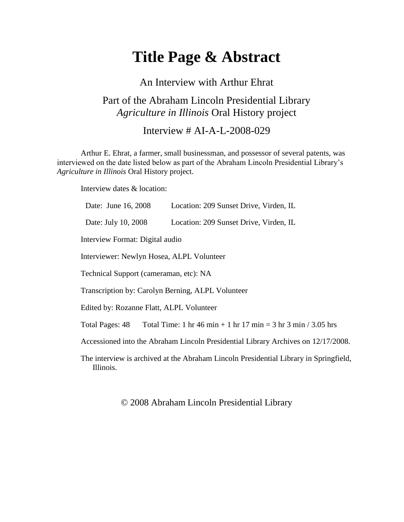# **Title Page & Abstract**

## An Interview with Arthur Ehrat Part of the Abraham Lincoln Presidential Library *Agriculture in Illinois* Oral History project

Interview  $\#$  AI-A-L-2008-029

Arthur E. Ehrat, a farmer, small businessman, and possessor of several patents, was interviewed on the date listed below as part of the Abraham Lincoln Presidential Library's *Agriculture in Illinois* Oral History project.

Interview dates & location:

Date: June 16, 2008 Location: 209 Sunset Drive, Virden, IL Date: July 10, 2008 Location: 209 Sunset Drive, Virden, IL Interview Format: Digital audio Interviewer: Newlyn Hosea, ALPL Volunteer Technical Support (cameraman, etc): NA Transcription by: Carolyn Berning, ALPL Volunteer Edited by: Rozanne Flatt, ALPL Volunteer Total Pages:  $48$  Total Time: 1 hr  $46$  min + 1 hr  $17$  min = 3 hr  $3$  min  $/ 3.05$  hrs Accessioned into the Abraham Lincoln Presidential Library Archives on 12/17/2008.

The interview is archived at the Abraham Lincoln Presidential Library in Springfield, Illinois.

#### © 2008 Abraham Lincoln Presidential Library